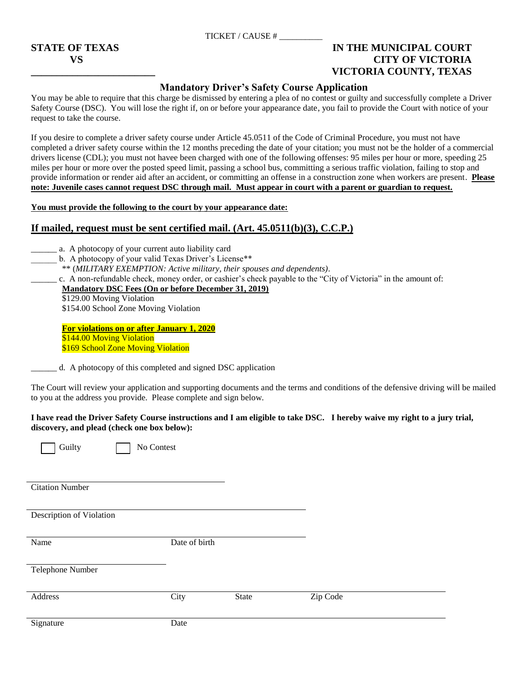TICKET / CAUSE # \_\_\_\_\_\_\_\_\_\_

# **STATE OF TEXAS IN THE MUNICIPAL COURT VS CITY OF VICTORIA \_\_\_\_\_\_\_\_\_\_\_\_\_\_\_\_\_\_\_\_\_\_\_\_ VICTORIA COUNTY, TEXAS**

## **Mandatory Driver's Safety Course Application**

You may be able to require that this charge be dismissed by entering a plea of no contest or guilty and successfully complete a Driver Safety Course (DSC). You will lose the right if, on or before your appearance date, you fail to provide the Court with notice of your request to take the course.

If you desire to complete a driver safety course under Article 45.0511 of the Code of Criminal Procedure, you must not have completed a driver safety course within the 12 months preceding the date of your citation; you must not be the holder of a commercial drivers license (CDL); you must not havee been charged with one of the following offenses: 95 miles per hour or more, speeding 25 miles per hour or more over the posted speed limit, passing a school bus, committing a serious traffic violation, failing to stop and provide information or render aid after an accident, or committing an offense in a construction zone when workers are present. **Please note: Juvenile cases cannot request DSC through mail. Must appear in court with a parent or guardian to request.** 

**You must provide the following to the court by your appearance date:**

## **If mailed, request must be sent certified mail. (Art. 45.0511(b)(3), C.C.P.)**

a. A photocopy of your current auto liability card

b. A photocopy of your valid Texas Driver's License\*\*

\*\* (*MILITARY EXEMPTION: Active military, their spouses and dependents)*.

\_\_\_\_\_\_ c. A non-refundable check, money order, or cashier's check payable to the "City of Victoria" in the amount of:

**Mandatory DSC Fees (On or before December 31, 2019)**

\$129.00 Moving Violation \$154.00 School Zone Moving Violation

**For violations on or after January 1, 2020** \$144.00 Moving Violation \$169 School Zone Moving Violation

\_\_\_\_\_\_ d. A photocopy of this completed and signed DSC application

No Contest

The Court will review your application and supporting documents and the terms and conditions of the defensive driving will be mailed to you at the address you provide. Please complete and sign below.

### **I have read the Driver Safety Course instructions and I am eligible to take DSC. I hereby waive my right to a jury trial, discovery, and plead (check one box below):**

| Guilty |  |
|--------|--|
|--------|--|

Citation Number

Description of Violation

Name Date of birth

Telephone Number

Address City State Zip Code

Signature Date